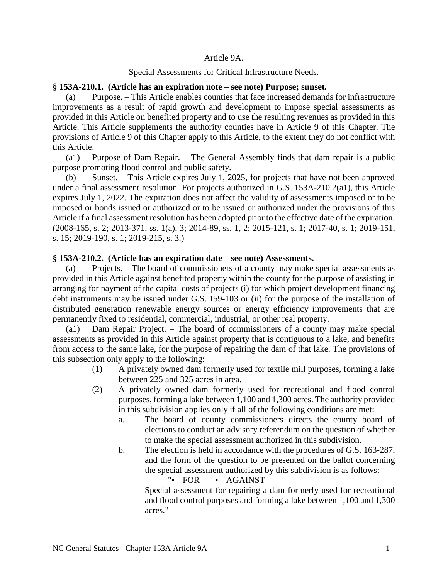## Article 9A.

### Special Assessments for Critical Infrastructure Needs.

#### **§ 153A-210.1. (Article has an expiration note – see note) Purpose; sunset.**

(a) Purpose. – This Article enables counties that face increased demands for infrastructure improvements as a result of rapid growth and development to impose special assessments as provided in this Article on benefited property and to use the resulting revenues as provided in this Article. This Article supplements the authority counties have in Article 9 of this Chapter. The provisions of Article 9 of this Chapter apply to this Article, to the extent they do not conflict with this Article.

(a1) Purpose of Dam Repair. – The General Assembly finds that dam repair is a public purpose promoting flood control and public safety.

(b) Sunset. – This Article expires July 1, 2025, for projects that have not been approved under a final assessment resolution. For projects authorized in G.S. 153A-210.2(a1), this Article expires July 1, 2022. The expiration does not affect the validity of assessments imposed or to be imposed or bonds issued or authorized or to be issued or authorized under the provisions of this Article if a final assessment resolution has been adopted prior to the effective date of the expiration. (2008-165, s. 2; 2013-371, ss. 1(a), 3; 2014-89, ss. 1, 2; 2015-121, s. 1; 2017-40, s. 1; 2019-151, s. 15; 2019-190, s. 1; 2019-215, s. 3.)

### **§ 153A-210.2. (Article has an expiration date – see note) Assessments.**

(a) Projects. – The board of commissioners of a county may make special assessments as provided in this Article against benefited property within the county for the purpose of assisting in arranging for payment of the capital costs of projects (i) for which project development financing debt instruments may be issued under G.S. 159-103 or (ii) for the purpose of the installation of distributed generation renewable energy sources or energy efficiency improvements that are permanently fixed to residential, commercial, industrial, or other real property.

(a1) Dam Repair Project. – The board of commissioners of a county may make special assessments as provided in this Article against property that is contiguous to a lake, and benefits from access to the same lake, for the purpose of repairing the dam of that lake. The provisions of this subsection only apply to the following:

- (1) A privately owned dam formerly used for textile mill purposes, forming a lake between 225 and 325 acres in area.
- (2) A privately owned dam formerly used for recreational and flood control purposes, forming a lake between 1,100 and 1,300 acres. The authority provided in this subdivision applies only if all of the following conditions are met:
	- a. The board of county commissioners directs the county board of elections to conduct an advisory referendum on the question of whether to make the special assessment authorized in this subdivision.
	- b. The election is held in accordance with the procedures of G.S. 163-287, and the form of the question to be presented on the ballot concerning the special assessment authorized by this subdivision is as follows:

#### "• FOR • AGAINST

Special assessment for repairing a dam formerly used for recreational and flood control purposes and forming a lake between 1,100 and 1,300 acres."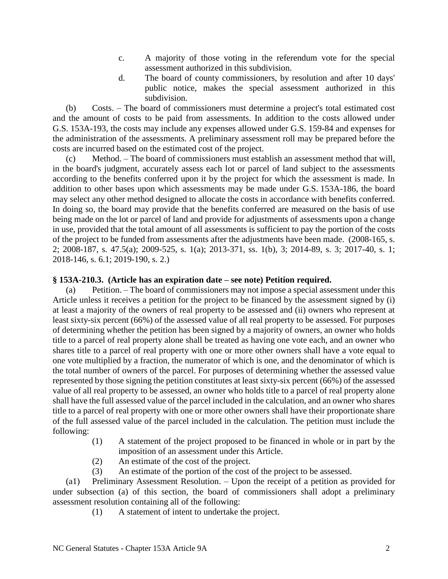- c. A majority of those voting in the referendum vote for the special assessment authorized in this subdivision.
- d. The board of county commissioners, by resolution and after 10 days' public notice, makes the special assessment authorized in this subdivision.

(b) Costs. – The board of commissioners must determine a project's total estimated cost and the amount of costs to be paid from assessments. In addition to the costs allowed under G.S. 153A-193, the costs may include any expenses allowed under G.S. 159-84 and expenses for the administration of the assessments. A preliminary assessment roll may be prepared before the costs are incurred based on the estimated cost of the project.

(c) Method. – The board of commissioners must establish an assessment method that will, in the board's judgment, accurately assess each lot or parcel of land subject to the assessments according to the benefits conferred upon it by the project for which the assessment is made. In addition to other bases upon which assessments may be made under G.S. 153A-186, the board may select any other method designed to allocate the costs in accordance with benefits conferred. In doing so, the board may provide that the benefits conferred are measured on the basis of use being made on the lot or parcel of land and provide for adjustments of assessments upon a change in use, provided that the total amount of all assessments is sufficient to pay the portion of the costs of the project to be funded from assessments after the adjustments have been made. (2008-165, s. 2; 2008-187, s. 47.5(a); 2009-525, s. 1(a); 2013-371, ss. 1(b), 3; 2014-89, s. 3; 2017-40, s. 1; 2018-146, s. 6.1; 2019-190, s. 2.)

# **§ 153A-210.3. (Article has an expiration date – see note) Petition required.**

(a) Petition. – The board of commissioners may not impose a special assessment under this Article unless it receives a petition for the project to be financed by the assessment signed by (i) at least a majority of the owners of real property to be assessed and (ii) owners who represent at least sixty-six percent (66%) of the assessed value of all real property to be assessed. For purposes of determining whether the petition has been signed by a majority of owners, an owner who holds title to a parcel of real property alone shall be treated as having one vote each, and an owner who shares title to a parcel of real property with one or more other owners shall have a vote equal to one vote multiplied by a fraction, the numerator of which is one, and the denominator of which is the total number of owners of the parcel. For purposes of determining whether the assessed value represented by those signing the petition constitutes at least sixty-six percent (66%) of the assessed value of all real property to be assessed, an owner who holds title to a parcel of real property alone shall have the full assessed value of the parcel included in the calculation, and an owner who shares title to a parcel of real property with one or more other owners shall have their proportionate share of the full assessed value of the parcel included in the calculation. The petition must include the following:

- (1) A statement of the project proposed to be financed in whole or in part by the imposition of an assessment under this Article.
- (2) An estimate of the cost of the project.
- (3) An estimate of the portion of the cost of the project to be assessed.

(a1) Preliminary Assessment Resolution. – Upon the receipt of a petition as provided for under subsection (a) of this section, the board of commissioners shall adopt a preliminary assessment resolution containing all of the following:

(1) A statement of intent to undertake the project.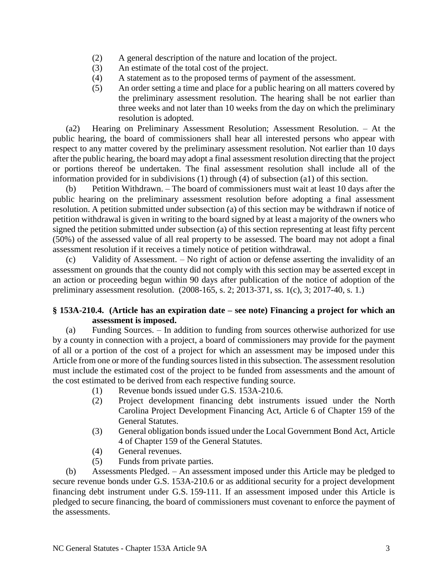- (2) A general description of the nature and location of the project.
- (3) An estimate of the total cost of the project.
- (4) A statement as to the proposed terms of payment of the assessment.
- (5) An order setting a time and place for a public hearing on all matters covered by the preliminary assessment resolution. The hearing shall be not earlier than three weeks and not later than 10 weeks from the day on which the preliminary resolution is adopted.

(a2) Hearing on Preliminary Assessment Resolution; Assessment Resolution. – At the public hearing, the board of commissioners shall hear all interested persons who appear with respect to any matter covered by the preliminary assessment resolution. Not earlier than 10 days after the public hearing, the board may adopt a final assessment resolution directing that the project or portions thereof be undertaken. The final assessment resolution shall include all of the information provided for in subdivisions (1) through (4) of subsection (a1) of this section.

(b) Petition Withdrawn. – The board of commissioners must wait at least 10 days after the public hearing on the preliminary assessment resolution before adopting a final assessment resolution. A petition submitted under subsection (a) of this section may be withdrawn if notice of petition withdrawal is given in writing to the board signed by at least a majority of the owners who signed the petition submitted under subsection (a) of this section representing at least fifty percent (50%) of the assessed value of all real property to be assessed. The board may not adopt a final assessment resolution if it receives a timely notice of petition withdrawal.

(c) Validity of Assessment. – No right of action or defense asserting the invalidity of an assessment on grounds that the county did not comply with this section may be asserted except in an action or proceeding begun within 90 days after publication of the notice of adoption of the preliminary assessment resolution. (2008-165, s. 2; 2013-371, ss. 1(c), 3; 2017-40, s. 1.)

# **§ 153A-210.4. (Article has an expiration date – see note) Financing a project for which an assessment is imposed.**

(a) Funding Sources. – In addition to funding from sources otherwise authorized for use by a county in connection with a project, a board of commissioners may provide for the payment of all or a portion of the cost of a project for which an assessment may be imposed under this Article from one or more of the funding sources listed in this subsection. The assessment resolution must include the estimated cost of the project to be funded from assessments and the amount of the cost estimated to be derived from each respective funding source.

- (1) Revenue bonds issued under G.S. 153A-210.6.
- (2) Project development financing debt instruments issued under the North Carolina Project Development Financing Act, Article 6 of Chapter 159 of the General Statutes.
- (3) General obligation bonds issued under the Local Government Bond Act, Article 4 of Chapter 159 of the General Statutes.
- (4) General revenues.
- (5) Funds from private parties.

(b) Assessments Pledged. – An assessment imposed under this Article may be pledged to secure revenue bonds under G.S. 153A-210.6 or as additional security for a project development financing debt instrument under G.S. 159-111. If an assessment imposed under this Article is pledged to secure financing, the board of commissioners must covenant to enforce the payment of the assessments.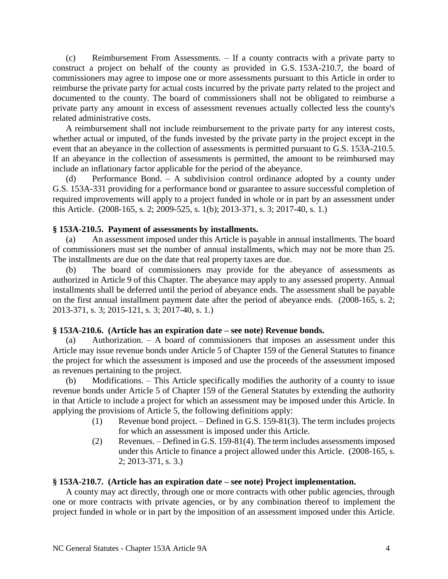(c) Reimbursement From Assessments. – If a county contracts with a private party to construct a project on behalf of the county as provided in G.S. 153A-210.7, the board of commissioners may agree to impose one or more assessments pursuant to this Article in order to reimburse the private party for actual costs incurred by the private party related to the project and documented to the county. The board of commissioners shall not be obligated to reimburse a private party any amount in excess of assessment revenues actually collected less the county's related administrative costs.

A reimbursement shall not include reimbursement to the private party for any interest costs, whether actual or imputed, of the funds invested by the private party in the project except in the event that an abeyance in the collection of assessments is permitted pursuant to G.S. 153A-210.5. If an abeyance in the collection of assessments is permitted, the amount to be reimbursed may include an inflationary factor applicable for the period of the abeyance.

(d) Performance Bond. – A subdivision control ordinance adopted by a county under G.S. 153A-331 providing for a performance bond or guarantee to assure successful completion of required improvements will apply to a project funded in whole or in part by an assessment under this Article. (2008-165, s. 2; 2009-525, s. 1(b); 2013-371, s. 3; 2017-40, s. 1.)

## **§ 153A-210.5. Payment of assessments by installments.**

(a) An assessment imposed under this Article is payable in annual installments. The board of commissioners must set the number of annual installments, which may not be more than 25. The installments are due on the date that real property taxes are due.

(b) The board of commissioners may provide for the abeyance of assessments as authorized in Article 9 of this Chapter. The abeyance may apply to any assessed property. Annual installments shall be deferred until the period of abeyance ends. The assessment shall be payable on the first annual installment payment date after the period of abeyance ends. (2008-165, s. 2; 2013-371, s. 3; 2015-121, s. 3; 2017-40, s. 1.)

# **§ 153A-210.6. (Article has an expiration date – see note) Revenue bonds.**

(a) Authorization. – A board of commissioners that imposes an assessment under this Article may issue revenue bonds under Article 5 of Chapter 159 of the General Statutes to finance the project for which the assessment is imposed and use the proceeds of the assessment imposed as revenues pertaining to the project.

(b) Modifications. – This Article specifically modifies the authority of a county to issue revenue bonds under Article 5 of Chapter 159 of the General Statutes by extending the authority in that Article to include a project for which an assessment may be imposed under this Article. In applying the provisions of Article 5, the following definitions apply:

- (1) Revenue bond project. Defined in G.S. 159-81(3). The term includes projects for which an assessment is imposed under this Article.
- (2) Revenues. Defined in G.S. 159-81(4). The term includes assessments imposed under this Article to finance a project allowed under this Article. (2008-165, s. 2; 2013-371, s. 3.)

## **§ 153A-210.7. (Article has an expiration date – see note) Project implementation.**

A county may act directly, through one or more contracts with other public agencies, through one or more contracts with private agencies, or by any combination thereof to implement the project funded in whole or in part by the imposition of an assessment imposed under this Article.